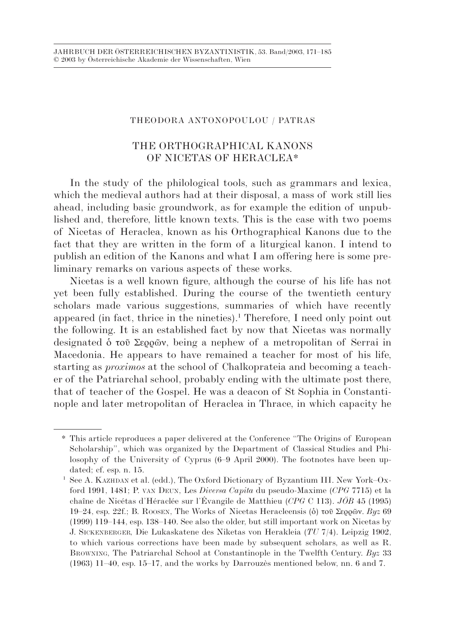## THEODORA ANTONOPOULOU / PATRAS

## THE ORTHOGRAPHICAL KANONS OF NICETAS OF HERACLEA\*

In the study of the philological tools, such as grammars and lexica, which the medieval authors had at their disposal, a mass of work still lies ahead, including basic groundwork, as for example the edition of unpublished and, therefore, little known texts. This is the case with two poems of Nicetas of Heraclea, known as his Orthographical Kanons due to the fact that they are written in the form of a liturgical kanon. I intend to publish an edition of the Kanons and what I am offering here is some preliminary remarks on various aspects of these works.

Nicetas is a well known figure, although the course of his life has not yet been fully established. During the course of the twentieth century scholars made various suggestions, summaries of which have recently appeared (in fact, thrice in the nineties).<sup>1</sup> Therefore, I need only point out the following. It is an established fact by now that Nicetas was normally designated ὁ τοῦ Σερρῶν, being a nephew of a metropolitan of Serrai in Macedonia. He appears to have remained a teacher for most of his life, starting as *proximos* at the school of Chalkoprateia and becoming a teacher of the Patriarchal school, probably ending with the ultimate post there, that of teacher of the Gospel. He was a deacon of St Sophia in Constantinople and later metropolitan of Heraclea in Thrace, in which capacity he

<sup>\*</sup> This article reproduces a paper delivered at the Conference "The Origins of European Scholarship", which was organized by the Department of Classical Studies and Philosophy of the University of Cyprus (6–9 April 2000). The footnotes have been updated; cf. esp. n. 15.

See A. KAZHDAN et al. (edd.), The Oxford Dictionary of Byzantium III. New York–Oxford 1991, 1481; P. VAN DEUN, Les *Diversa Capita* du pseudo-Maxime (*CPG* 7715) et la chaîne de Nicétas d'Héraclée sur l'Évangile de Matthieu (*CPG* C 113). *JÖB* 45 (1995) 19–24, esp. 22f.; B. ROOSEN, The Works of Nicetas Heracleensis (ὁ) τοῦ Σερρῶν. *Byz* 69 (1999) 119–144, esp. 138–140. See also the older, but still important work on Nicetas by J. SICKENBERGER, Die Lukaskatene des Niketas von Herakleia (*TU* 7/4). Leipzig 1902, to which various corrections have been made by subsequent scholars, as well as R. BROWNING, The Patriarchal School at Constantinople in the Twelfth Century. *Byz* 33 (1963) 11–40, esp. 15–17, and the works by Darrouzès mentioned below, nn. 6 and 7.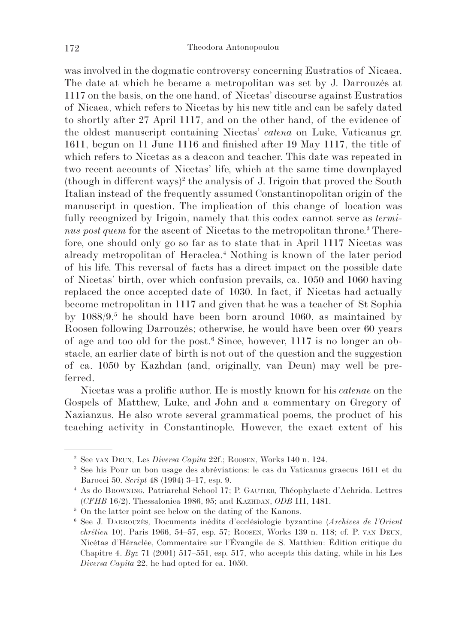was involved in the dogmatic controversy concerning Eustratios of Nicaea. The date at which he became a metropolitan was set by J. Darrouzès at 1117 on the basis, on the one hand, of Nicetas' discourse against Eustratios of Nicaea, which refers to Nicetas by his new title and can be safely dated to shortly after 27 April 1117, and on the other hand, of the evidence of the oldest manuscript containing Nicetas' *catena* on Luke, Vaticanus gr. 1611, begun on 11 June 1116 and finished after 19 May 1117, the title of which refers to Nicetas as a deacon and teacher. This date was repeated in two recent accounts of Nicetas' life, which at the same time downplayed  $(hough in different ways)<sup>2</sup>$  the analysis of J. Irigoin that proved the South Italian instead of the frequently assumed Constantinopolitan origin of the manuscript in question. The implication of this change of location was fully recognized by Irigoin, namely that this codex cannot serve as *termi*nus post quem for the ascent of Nicetas to the metropolitan throne.<sup>3</sup> Therefore, one should only go so far as to state that in April 1117 Nicetas was already metropolitan of Heraclea.4 Nothing is known of the later period of his life. This reversal of facts has a direct impact on the possible date of Nicetas' birth, over which confusion prevails, ca. 1050 and 1060 having replaced the once accepted date of 1030. In fact, if Nicetas had actually become metropolitan in 1117 and given that he was a teacher of St Sophia by 1088/9,<sup>5</sup> he should have been born around 1060, as maintained by Roosen following Darrouzès; otherwise, he would have been over 60 years of age and too old for the post.<sup>6</sup> Since, however, 1117 is no longer an obstacle, an earlier date of birth is not out of the question and the suggestion of ca. 1050 by Kazhdan (and, originally, van Deun) may well be preferred.

Nicetas was a prolific author. He is mostly known for his *catenae* on the Gospels of Matthew, Luke, and John and a commentary on Gregory of Nazianzus. He also wrote several grammatical poems, the product of his teaching activity in Constantinople. However, the exact extent of his

<sup>2</sup> See VAN DEUN, Les *Diversa Capita* 22f.; ROOSEN, Works 140 n. 124.

<sup>3</sup> See his Pour un bon usage des abréviations: le cas du Vaticanus graecus 1611 et du Barocci 50. *Script* 48 (1994) 3–17, esp. 9.

<sup>4</sup> As do BROWNING, Patriarchal School 17; P. GAUTIER, Théophylacte d'Achrida. Lettres (*CFHB* 16/2). Thessalonica 1986, 95; and KAZHDAN, *ODB* III, 1481.

<sup>5</sup> On the latter point see below on the dating of the Kanons.

<sup>6</sup> See J. DARROUZÈS, Documents inédits d'ecclésiologie byzantine (*Archives de l'Orient chrétien* 10). Paris 1966, 54–57, esp. 57; ROOSEN, Works 139 n. 118; cf. P. VAN DEUN, Nicétas d'Héraclée, Commentaire sur l'Évangile de S. Matthieu: Édition critique du Chapitre 4. *Byz* 71 (2001) 517–551, esp. 517, who accepts this dating, while in his Les *Diversa Capita* 22, he had opted for ca. 1050.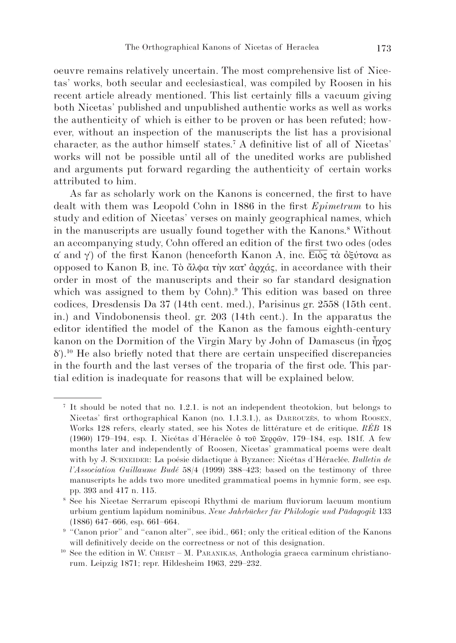oeuvre remains relatively uncertain. The most comprehensive list of Nicetas' works, both secular and ecclesiastical, was compiled by Roosen in his recent article already mentioned. This list certainly fills a vacuum giving both Nicetas' published and unpublished authentic works as well as works the authenticity of which is either to be proven or has been refuted; however, without an inspection of the manuscripts the list has a provisional character, as the author himself states.7 A definitive list of all of Nicetas' works will not be possible until all of the unedited works are published and arguments put forward regarding the authenticity of certain works attributed to him.

As far as scholarly work on the Kanons is concerned, the first to have dealt with them was Leopold Cohn in 1886 in the first *Epimetrum* to his study and edition of Nicetas' verses on mainly geographical names, which in the manuscripts are usually found together with the Kanons.8 Without an accompanying study, Cohn offered an edition of the first two odes (odes α΄ and γ΄) of the first Kanon (henceforth Kanon A, inc. Ειὸς τὰ ὀξύτονα as opposed to Kanon B, inc. Τὸ ἄλφα τὴν κατ᾿ ἀρχάς, in accordance with their order in most of the manuscripts and their so far standard designation which was assigned to them by Cohn).<sup>9</sup> This edition was based on three codices, Dresdensis Da 37 (14th cent. med.), Parisinus gr. 2558 (15th cent. in.) and Vindobonensis theol. gr. 203 (14th cent.). In the apparatus the editor identified the model of the Kanon as the famous eighth-century kanon on the Dormition of the Virgin Mary by John of Damascus (in ἦχος  $\delta'$ ).<sup>10</sup> He also briefly noted that there are certain unspecified discrepancies in the fourth and the last verses of the troparia of the first ode. This partial edition is inadequate for reasons that will be explained below.

<sup>7</sup> It should be noted that no. 1.2.1. is not an independent theotokion, but belongs to Nicetas' first orthographical Kanon (no. 1.1.3.1.), as DARROUZÈS, to whom ROOSEN, Works 128 refers, clearly stated, see his Notes de littérature et de critique. *RÉB* 18 (1960) 179–194, esp. I. Nicétas d'Héraclée ὁ τοῦ Σερρῶν, 179–184, esp. 181f. A few months later and independently of Roosen, Nicetas' grammatical poems were dealt with by J. SCHNEIDER: La poésie didactique à Byzance: Nicétas d'Héraclée. *Bulletin de l'Association Guillaume Budé* 58/4 (1999) 388–423; based on the testimony of three manuscripts he adds two more unedited grammatical poems in hymnic form, see esp. pp. 393 and 417 n. 115.

<sup>8</sup> See his Nicetae Serrarum episcopi Rhythmi de marium fluviorum lacuum montium urbium gentium lapidum nominibus. *Neue Jahrbücher für Philologie und Pädagogik* 133 (1886) 647–666, esp. 661–664.

<sup>&</sup>lt;sup>9</sup> "Canon prior" and "canon alter", see ibid., 661; only the critical edition of the Kanons will definitively decide on the correctness or not of this designation.

 $10$  See the edition in W. CHRIST – M. PARANIKAS, Anthologia graeca carminum christianorum. Leipzig 1871; repr. Hildesheim 1963, 229–232.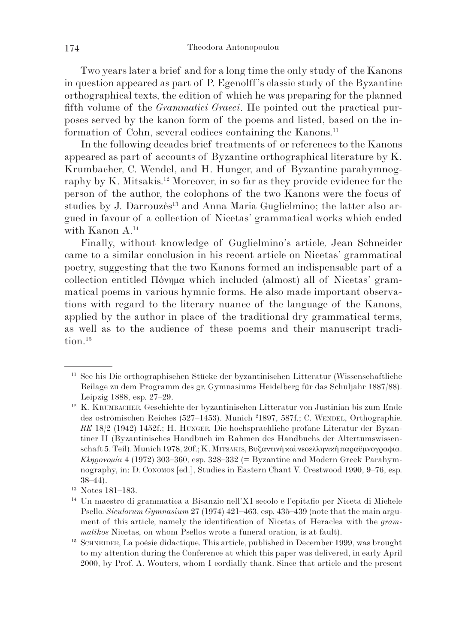Two years later a brief and for a long time the only study of the Kanons in question appeared as part of P. Egenolff's classic study of the Byzantine orthographical texts, the edition of which he was preparing for the planned fifth volume of the *Grammatici Graeci*. He pointed out the practical purposes served by the kanon form of the poems and listed, based on the information of Cohn, several codices containing the Kanons.11

In the following decades brief treatments of or references to the Kanons appeared as part of accounts of Byzantine orthographical literature by K. Krumbacher, C. Wendel, and H. Hunger, and of Byzantine parahymnography by K. Mitsakis.<sup>12</sup> Moreover, in so far as they provide evidence for the person of the author, the colophons of the two Kanons were the focus of studies by J. Darrouzès<sup>13</sup> and Anna Maria Guglielmino; the latter also argued in favour of a collection of Nicetas' grammatical works which ended with Kanon A.14

Finally, without knowledge of Guglielmino's article, Jean Schneider came to a similar conclusion in his recent article on Nicetas' grammatical poetry, suggesting that the two Kanons formed an indispensable part of a collection entitled Πόνημα which included (almost) all of Nicetas' grammatical poems in various hymnic forms. He also made important observations with regard to the literary nuance of the language of the Kanons, applied by the author in place of the traditional dry grammatical terms, as well as to the audience of these poems and their manuscript tradition.<sup>15</sup>

<sup>11</sup> See his Die orthographischen Stücke der byzantinischen Litteratur (Wissenschaftliche Beilage zu dem Programm des gr. Gymnasiums Heidelberg für das Schuljahr 1887/88). Leipzig 1888, esp. 27–29.

<sup>12</sup> K. KRUMBACHER, Geschichte der byzantinischen Litteratur von Justinian bis zum Ende des oströmischen Reiches (527–1453). Munich 2 1897, 587f.; C. WENDEL, Orthographie. *RE* 18/2 (1942) 1452f.; H. HUNGER, Die hochsprachliche profane Literatur der Byzantiner II (Byzantinisches Handbuch im Rahmen des Handbuchs der Altertumswissenschaft 5. Teil). Munich 1978, 20f.; Κ. MITSAKIS, Βυζαντινὴ καὶ νεοελληνικὴ παραϋμνογραφία. *Κληρονομία* 4 (1972) 303–360, esp. 328–332 (= Byzantine and Modern Greek Parahymnography, in: D. CONOMOS [ed.], Studies in Eastern Chant V. Crestwood 1990, 9–76, esp. 38–44).

<sup>13</sup> Notes 181–183.

<sup>14</sup> Un maestro di grammatica a Bisanzio nell'XI secolo e l'epitafio per Niceta di Michele Psello. *Siculorum Gymnasium* 27 (1974) 421–463, esp. 435–439 (note that the main argument of this article, namely the identification of Nicetas of Heraclea with the *grammatikos* Nicetas, on whom Psellos wrote a funeral oration, is at fault).

<sup>15</sup> SCHNEIDER, La poésie didactique. This article, published in December 1999, was brought to my attention during the Conference at which this paper was delivered, in early April 2000, by Prof. A. Wouters, whom I cordially thank. Since that article and the present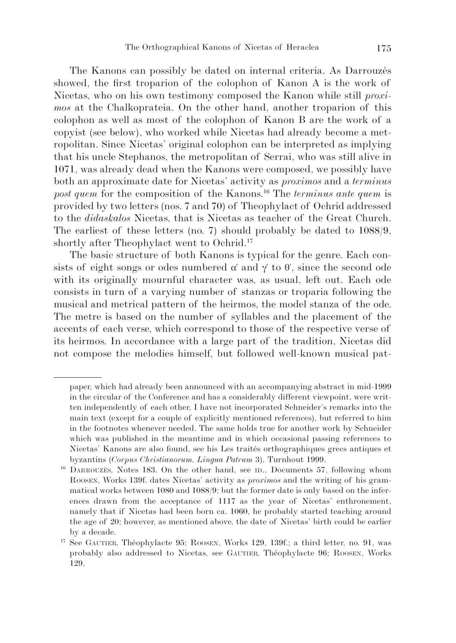The Kanons can possibly be dated on internal criteria. As Darrouzès showed, the first troparion of the colophon of Kanon A is the work of Nicetas, who on his own testimony composed the Kanon while still *proximos* at the Chalkoprateia. On the other hand, another troparion of this colophon as well as most of the colophon of Kanon B are the work of a copyist (see below), who worked while Nicetas had already become a metropolitan. Since Nicetas' original colophon can be interpreted as implying that his uncle Stephanos, the metropolitan of Serrai, who was still alive in 1071, was already dead when the Kanons were composed, we possibly have both an approximate date for Nicetas' activity as *proximos* and a *terminus post quem* for the composition of the Kanons.<sup>16</sup> The *terminus ante quem* is provided by two letters (nos. 7 and 70) of Theophylact of Ochrid addressed to the *didaskalos* Nicetas, that is Nicetas as teacher of the Great Church. The earliest of these letters (no. 7) should probably be dated to 1088/9, shortly after Theophylact went to Ochrid.17

The basic structure of both Kanons is typical for the genre. Each consists of eight songs or odes numbered  $\alpha'$  and  $\gamma'$  to  $\theta'$ , since the second ode with its originally mournful character was, as usual, left out. Each ode consists in turn of a varying number of stanzas or troparia following the musical and metrical pattern of the heirmos, the model stanza of the ode. The metre is based on the number of syllables and the placement of the accents of each verse, which correspond to those of the respective verse of its heirmos. In accordance with a large part of the tradition, Nicetas did not compose the melodies himself, but followed well-known musical pat-

paper, which had already been announced with an accompanying abstract in mid-1999 in the circular of the Conference and has a considerably different viewpoint, were written independently of each other, I have not incorporated Schneider's remarks into the main text (except for a couple of explicitly mentioned references), but referred to him in the footnotes whenever needed. The same holds true for another work by Schneider which was published in the meantime and in which occasional passing references to Nicetas' Kanons are also found, see his Les traités orthographiques grecs antiques et byzantins (*Corpus Christianorum. Lingua Patrum* 3). Turnhout 1999.

<sup>16</sup> DARROUZÈS, Notes 183. On the other hand, see ID., Documents 57, following whom ROOSEN, Works 139f. dates Nicetas' activity as *proximos* and the writing of his grammatical works between 1080 and 1088/9; but the former date is only based on the inferences drawn from the acceptance of 1117 as the year of Nicetas' enthronement, namely that if Nicetas had been born ca. 1060, he probably started teaching around the age of 20; however, as mentioned above, the date of Nicetas' birth could be earlier by a decade.

<sup>17</sup> See GAUTIER, Théophylacte 95; ROOSEN, Works 129, 139f.; a third letter, no. 91, was probably also addressed to Nicetas, see GAUTIER, Théophylacte 96; ROOSEN, Works 129.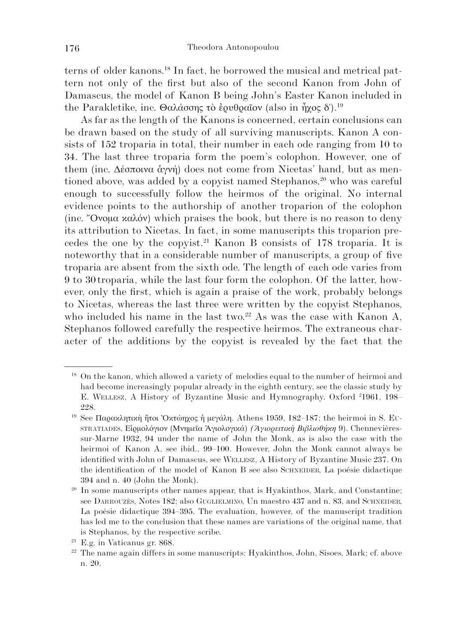terns of older kanons.18 In fact, he borrowed the musical and metrical pattern not only of the first but also of the second Kanon from John of Damascus, the model of Kanon B being John's Easter Kanon included in the Parakletike, inc. Θαλάσσης τὸ ἐρυθραῖον (also in ἦχος δ').<sup>19</sup>

As far as the length of the Kanons is concerned, certain conclusions can be drawn based on the study of all surviving manuscripts. Kanon A consists of 152 troparia in total, their number in each ode ranging from 10 to 34. The last three troparia form the poem's colophon. However, one of them (inc. Δέσποινα ἁγνή) does not come from Nicetas' hand, but as mentioned above, was added by a copyist named Stephanos, $2<sup>0</sup>$  who was careful enough to successfully follow the heirmos of the original. No internal evidence points to the authorship of another troparion of the colophon (inc. "Ονομα καλόν) which praises the book, but there is no reason to deny its attribution to Nicetas. In fact, in some manuscripts this troparion precedes the one by the copyist.21 Kanon B consists of 178 troparia. It is noteworthy that in a considerable number of manuscripts, a group of five troparia are absent from the sixth ode. The length of each ode varies from 9 to 30 troparia, while the last four form the colophon. Of the latter, however, only the first, which is again a praise of the work, probably belongs to Nicetas, whereas the last three were written by the copyist Stephanos, who included his name in the last two.<sup>22</sup> As was the case with Kanon A, Stephanos followed carefully the respective heirmos. The extraneous character of the additions by the copyist is revealed by the fact that the

<sup>&</sup>lt;sup>18</sup> On the kanon, which allowed a variety of melodies equal to the number of heirmoi and had become increasingly popular already in the eighth century, see the classic study by E. WELLESZ, A History of Byzantine Music and Hymnography. Oxford <sup>2</sup>1961, 198– 228.

<sup>&</sup>lt;sup>19</sup> See Παρακλητική ήτοι Όκτώηχος ή μεγάλη. Athens 1959, 182–187; the heirmoi in S. Eu-STRATIADES, Εἱρμολόγιον (Μνημεῖα Ἁγιολογικά) *(Ἁγιορειτικὴ Βιβλιοθήκη* 9). Chennevièressur-Marne 1932, 94 under the name of John the Monk, as is also the case with the heirmoi of Kanon A, see ibid., 99–100. However, John the Monk cannot always be identified with John of Damascus, see WELLESZ, A History of Byzantine Music 237. On the identification of the model of Kanon B see also SCHNEIDER, La poésie didactique 394 and n. 40 (John the Monk).

<sup>&</sup>lt;sup>20</sup> In some manuscripts other names appear, that is Hyakinthos, Mark, and Constantine; see DARROUZÈS, Notes 182; also GUGLIELMINO, Un maestro 437 and n. 83, and SCHNEIDER, La poésie didactique 394–395. The evaluation, however, of the manuscript tradition has led me to the conclusion that these names are variations of the original name, that is Stephanos, by the respective scribe.

<sup>21</sup> E.g. in Vaticanus gr. 868.

<sup>22</sup> The name again differs in some manuscripts: Hyakinthos, John, Sisoes, Mark; cf. above n. 20.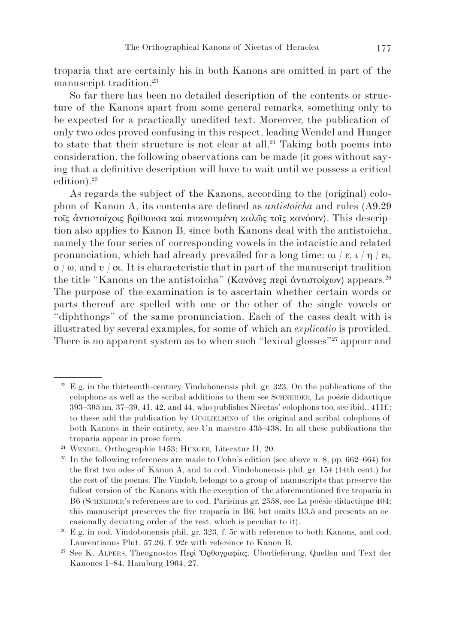troparia that are certainly his in both Kanons are omitted in part of the manuscript tradition.23

So far there has been no detailed description of the contents or structure of the Kanons apart from some general remarks, something only to be expected for a practically unedited text. Moreover, the publication of only two odes proved confusing in this respect, leading Wendel and Hunger to state that their structure is not clear at all.<sup>24</sup> Taking both poems into consideration, the following observations can be made (it goes without saying that a definitive description will have to wait until we possess a critical edition).25

As regards the subject of the Kanons, according to the (original) colophon of Kanon A, its contents are defined as *antistoicha* and rules (A9.29 τοῖς ἀντιστοίχοις βρίθουσα καὶ πυκνουμένη καλῶς τοῖς κανόσιν). This description also applies to Kanon B, since both Kanons deal with the antistoicha, namely the four series of corresponding vowels in the iotacistic and related pronunciation, which had already prevailed for a long time: αι / ε, ι / η / ει, ο / ω, and υ / οι. It is characteristic that in part of the manuscript tradition the title "Kanons on the antistoicha" (Κανόνες περὶ ἀντιστοίχων) appears.<sup>26</sup> The purpose of the examination is to ascertain whether certain words or parts thereof are spelled with one or the other of the single vowels or "diphthongs" of the same pronunciation. Each of the cases dealt with is illustrated by several examples, for some of which an *explicatio* is provided. There is no apparent system as to when such "lexical glosses"<sup>27</sup> appear and

<sup>23</sup> E.g. in the thirteenth-century Vindobonensis phil. gr. 323. On the publications of the colophons as well as the scribal additions to them see SCHNEIDER, La poésie didactique 393–395 nn. 37–39, 41, 42, and 44, who publishes Nicetas' colophons too, see ibid., 411f.; to these add the publication by GUGLIELMINO of the original and scribal colophons of both Kanons in their entirety, see Un maestro 435–438. In all these publications the troparia appear in prose form.

<sup>24</sup> WENDEL, Orthographie 1453; HUNGER, Literatur II, 20.

<sup>&</sup>lt;sup>25</sup> In the following references are made to Cohn's edition (see above n. 8, pp.  $662-664$ ) for the first two odes of Kanon A, and to cod. Vindobonensis phil. gr. 154 (14th cent.) for the rest of the poems. The Vindob. belongs to a group of manuscripts that preserve the fullest version of the Kanons with the exception of the aforementioned five troparia in B6 (SCHNEIDER's references are to cod. Parisinus gr. 2558, see La poésie didactique 404; this manuscript preserves the five troparia in B6, but omits B3.5 and presents an occasionally deviating order of the rest, which is peculiar to it).

<sup>26</sup> E.g. in cod. Vindobonensis phil. gr. 323, f. 5r with reference to both Kanons, and cod. Laurentianus Plut. 57.26, f. 92r with reference to Kanon B.

<sup>27</sup> See K. ALPERS, Theognostos Περὶ Ὀρθογραφίας. Überlieferung, Quellen und Text der Kanones 1–84. Hamburg 1964, 27.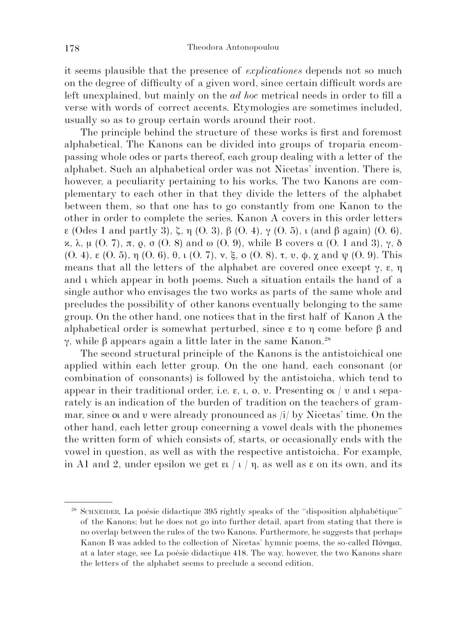it seems plausible that the presence of *explicationes* depends not so much on the degree of difficulty of a given word, since certain difficult words are left unexplained, but mainly on the *ad hoc* metrical needs in order to fill a verse with words of correct accents. Etymologies are sometimes included, usually so as to group certain words around their root.

The principle behind the structure of these works is first and foremost alphabetical. The Kanons can be divided into groups of troparia encompassing whole odes or parts thereof, each group dealing with a letter of the alphabet. Such an alphabetical order was not Nicetas' invention. There is, however, a peculiarity pertaining to his works. The two Kanons are complementary to each other in that they divide the letters of the alphabet between them, so that one has to go constantly from one Kanon to the other in order to complete the series. Kanon A covers in this order letters ε (Odes 1 and partly 3), ζ, η (O. 3), β (O. 4), γ (O. 5), ι (and β again) (O. 6), κ, λ, μ (O. 7), π, ρ, σ (O. 8) and ω (O. 9), while B covers α (O. 1 and 3), γ, δ (O. 4), ε (O. 5), η (O. 6), θ, ι (O. 7), ν, ξ, ο (O. 8), τ, υ, φ, χ and ψ (O. 9). This means that all the letters of the alphabet are covered once except  $\gamma$ ,  $\varepsilon$ ,  $\eta$ and ι which appear in both poems. Such a situation entails the hand of a single author who envisages the two works as parts of the same whole and precludes the possibility of other kanons eventually belonging to the same group. On the other hand, one notices that in the first half of Kanon A the alphabetical order is somewhat perturbed, since ε to η come before β and γ, while β appears again a little later in the same Kanon.<sup>28</sup>

The second structural principle of the Kanons is the antistoichical one applied within each letter group. On the one hand, each consonant (or combination of consonants) is followed by the antistoicha, which tend to appear in their traditional order, i.e.  $\varepsilon$ ,  $\varepsilon$ ,  $\theta$ ,  $v$ . Presenting or  $/v$  and  $v$  separately is an indication of the burden of tradition on the teachers of grammar, since οι and υ were already pronounced as /i/ by Nicetas' time. On the other hand, each letter group concerning a vowel deals with the phonemes the written form of which consists of, starts, or occasionally ends with the vowel in question, as well as with the respective antistoicha. For example, in A1 and 2, under epsilon we get  $\epsilon$  /  $\iota$  /  $\eta$ , as well as  $\epsilon$  on its own, and its

<sup>28</sup> SCHNEIDER, La poésie didactique 395 rightly speaks of the "disposition alphabétique" of the Kanons; but he does not go into further detail, apart from stating that there is no overlap between the rules of the two Kanons. Furthermore, he suggests that perhaps Kanon B was added to the collection of Nicetas' hymnic poems, the so-called Πόνημα, at a later stage, see La poésie didactique 418. The way, however, the two Kanons share the letters of the alphabet seems to preclude a second edition.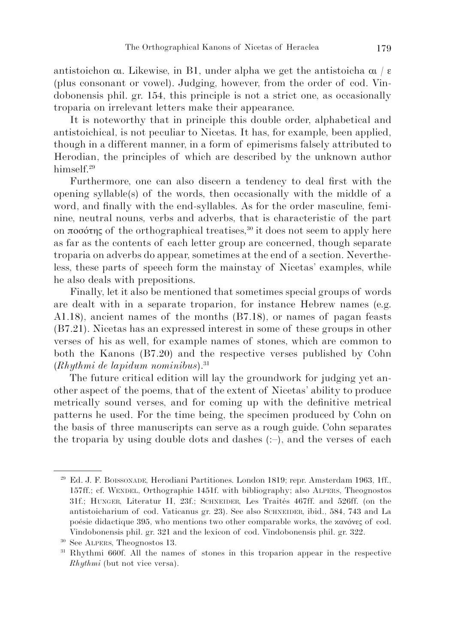antistoichon αι. Likewise, in B1, under alpha we get the antistoicha αι / ε (plus consonant or vowel). Judging, however, from the order of cod. Vindobonensis phil. gr. 154, this principle is not a strict one, as occasionally troparia on irrelevant letters make their appearance.

It is noteworthy that in principle this double order, alphabetical and antistoichical, is not peculiar to Nicetas. It has, for example, been applied, though in a different manner, in a form of epimerisms falsely attributed to Herodian, the principles of which are described by the unknown author himself.<sup>29</sup>

Furthermore, one can also discern a tendency to deal first with the opening syllable(s) of the words, then occasionally with the middle of a word, and finally with the end-syllables. As for the order masculine, feminine, neutral nouns, verbs and adverbs, that is characteristic of the part on ποσότης of the orthographical treatises,<sup>30</sup> it does not seem to apply here as far as the contents of each letter group are concerned, though separate troparia on adverbs do appear, sometimes at the end of a section. Nevertheless, these parts of speech form the mainstay of Nicetas' examples, while he also deals with prepositions.

Finally, let it also be mentioned that sometimes special groups of words are dealt with in a separate troparion, for instance Hebrew names (e.g. A1.18), ancient names of the months (B7.18), or names of pagan feasts (B7.21). Nicetas has an expressed interest in some of these groups in other verses of his as well, for example names of stones, which are common to both the Kanons (B7.20) and the respective verses published by Cohn (*Rhythmi de lapidum nominibus*).31

The future critical edition will lay the groundwork for judging yet another aspect of the poems, that of the extent of Nicetas' ability to produce metrically sound verses, and for coming up with the definitive metrical patterns he used. For the time being, the specimen produced by Cohn on the basis of three manuscripts can serve as a rough guide. Cohn separates the troparia by using double dots and dashes  $(.-)$ , and the verses of each

<sup>29</sup> Ed. J. F. BOISSONADE, Herodiani Partitiones. London 1819; repr. Amsterdam 1963, 1ff., 157ff.; cf. WENDEL, Orthographie 1451f. with bibliography; also ALPERS, Theognostos 31f.; HUNGER, Literatur II, 23f.; SCHNEIDER, Les Traités 467ff. and 526ff. (on the antistoicharium of cod. Vaticanus gr. 23). See also SCHNEIDER, ibid., 584, 743 and La poésie didactique 395, who mentions two other comparable works, the κανόνες of cod. Vindobonensis phil. gr. 321 and the lexicon of cod. Vindobonensis phil. gr. 322.

<sup>30</sup> See ALPERS, Theognostos 13.

<sup>31</sup> Rhythmi 660f. All the names of stones in this troparion appear in the respective *Rhythmi* (but not vice versa).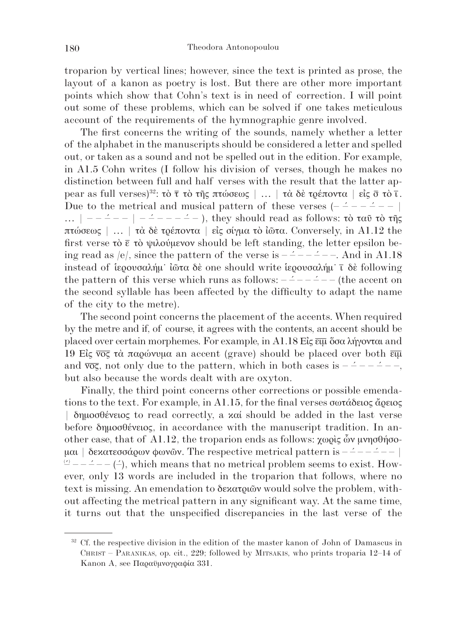troparion by vertical lines; however, since the text is printed as prose, the layout of a kanon as poetry is lost. But there are other more important points which show that Cohn's text is in need of correction. I will point out some of these problems, which can be solved if one takes meticulous account of the requirements of the hymnographic genre involved.

The first concerns the writing of the sounds, namely whether a letter of the alphabet in the manuscripts should be considered a letter and spelled out, or taken as a sound and not be spelled out in the edition. For example, in A1.5 Cohn writes (I follow his division of verses, though he makes no distinction between full and half verses with the result that the latter appear as full verses)<sup>32</sup>: τὸ τ τὸ τῆς πτώσεως  $| \dots |$  τὰ δὲ τρέποντα  $|$  εἰς σ- τὸ ι-Due to the metrical and musical pattern of these verses (– –´ – – –´ – – | ...  $| - - - - - | - - - - - - \rangle$ , they should read as follows: τὸ ταῦ τὸ τῆς πτώσεως | … | τὰ δὲ τρέποντα | εἰς σίγμα τὸ ἰῶτα. Conversely, in A1.12 the first verse τὸ ε- τὸ ψιλούμενον should be left standing, the letter epsilon being read as /e/, since the pattern of the verse is  $-$  – – – – – –. And in A1.18 instead of ίερουσαλήμ· ίῶτα δὲ one should write ίερουσαλήμ· τ δὲ following the pattern of this verse which runs as follows:  $-\frac{2}{x}$  –  $\frac{2}{x}$  – (the accent on the second syllable has been affected by the difficulty to adapt the name of the city to the metre).

The second point concerns the placement of the accents. When required by the metre and if, of course, it agrees with the contents, an accent should be of the city to the metre).<br>The second point concerns the placement of the accents. When required<br>by the metre and if, of course, it agrees with the contents, an accent should be<br>placed over certain morphemes. For example of the city to the metre).<br>
The second point concerns the placement of the accents. When required<br>
by the metre and if, of course, it agrees with the contents, an accent should be<br>
placed over certain morphemes. For exam The s<br>by the m<br>placed ov<br>19 Eig  $\overline{v}$ <br>and  $\overline{v}$ ,<br>but also and  $\overline{voc}$ , not only due to the pattern, which in both cases is  $-$  – – – – –, but also because the words dealt with are oxyton.

Finally, the third point concerns other corrections or possible emendations to the text. For example, in A1.15, for the final verses σωτάδειος ἄρειος | δημοσθένειος to read correctly, a καί should be added in the last verse before δημοσθένειος, in accordance with the manuscript tradition. In another case, that of A1.12, the troparion ends as follows: χωρὶς ὧν μνησθήσομαι | δεκατεσσάρων φωνῶν. The respective metrical pattern is  $-\left(- - - -\right)$  $\Omega$  – – –́ – – (–), which means that no metrical problem seems to exist. However, only 13 words are included in the troparion that follows, where no text is missing. An emendation to δεκατριῶν would solve the problem, without affecting the metrical pattern in any significant way. At the same time, it turns out that the unspecified discrepancies in the last verse of the

<sup>&</sup>lt;sup>32</sup> Cf. the respective division in the edition of the master kanon of John of Damascus in CHRIST – PARANIKAS, op. cit., 229; followed by MITSAKIS, who prints troparia 12–14 of Kanon A, see Παραϋμνογραφία 331.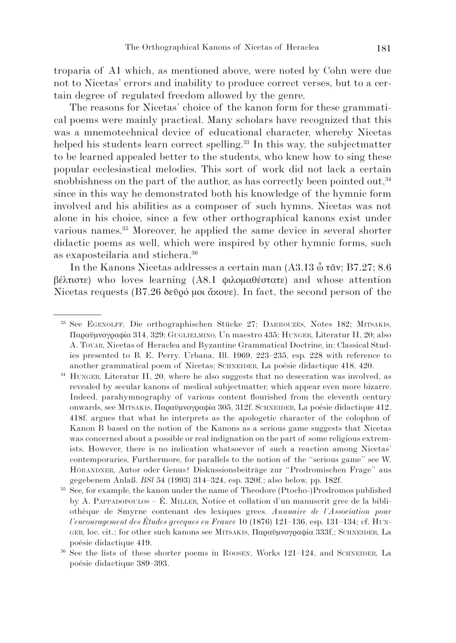troparia of A1 which, as mentioned above, were noted by Cohn were due not to Nicetas' errors and inability to produce correct verses, but to a certain degree of regulated freedom allowed by the genre.

The reasons for Nicetas' choice of the kanon form for these grammatical poems were mainly practical. Many scholars have recognized that this was a mnemotechnical device of educational character, whereby Nicetas helped his students learn correct spelling.<sup>33</sup> In this way, the subjectmatter to be learned appealed better to the students, who knew how to sing these popular ecclesiastical melodies. This sort of work did not lack a certain snobbishness on the part of the author, as has correctly been pointed out,  $34$ since in this way he demonstrated both his knowledge of the hymnic form involved and his abilities as a composer of such hymns. Nicetas was not alone in his choice, since a few other orthographical kanons exist under various names.35 Moreover, he applied the same device in several shorter didactic poems as well, which were inspired by other hymnic forms, such as exaposteilaria and stichera.36

In the Kanons Nicetas addresses a certain man (A3.13 ὦ τᾶν; B7.27; 8.6 βέλτιστε) who loves learning (A8.1 φιλομαθέστατε) and whose attention Nicetas requests (B7.26 δεῦρό μοι ἄκουε). In fact, the second person of the

<sup>33</sup> See EGENOLFF, Die orthographischen Stücke 27; DARROUZÈS, Notes 182; MITSAKIS, Παραϋμνογραφία 314, 329; GUGLIELMINO, Un maestro 435; HUNGER, Literatur II, 20; also A. TOVAR, Nicetas of Heraclea and Byzantine Grammatical Doctrine, in: Classical Studies presented to B. E. Perry. Urbana, Ill. 1969, 223–235, esp. 228 with reference to another grammatical poem of Nicetas; SCHNEIDER, La poésie didactique 418, 420.

<sup>&</sup>lt;sup>34</sup> HUNGER, Literatur II, 20, where he also suggests that no desecration was involved, as revealed by secular kanons of medical subjectmatter, which appear even more bizarre. Indeed, parahymnography of various content flourished from the eleventh century onwards, see MITSAKIS, Παραϋμνογραφία 305, 312f. SCHNEIDER, La poésie didactique 412, 418f. argues that what he interprets as the apologetic character of the colophon of Kanon B based on the notion of the Kanons as a serious game suggests that Nicetas was concerned about a possible or real indignation on the part of some religious extremists. However, there is no indication whatsoever of such a reaction among Nicetas' contemporaries. Furthermore, for parallels to the notion of the "serious game" see W. HÖRANDNER, Autor oder Genus? Diskussionsbeiträge zur "Prodromischen Frage" aus gegebenem Anlaß. *BSl* 54 (1993) 314–324, esp. 320f.; also below, pp. 182f.

<sup>35</sup> See, for example, the kanon under the name of Theodore (Ptocho-)Prodromos published by A. PAPPADOPOULOS – É. MILLER, Notice et collation d'un manuscrit grec de la bibliothèque de Smyrne contenant des lexiques grecs. *Annuaire de l'Association pour l'encouragement des Études grecques en France* 10 (1876) 121–136, esp. 131–134; cf. HUN-GER, loc. cit.; for other such kanons see MITSAKIS, Παραϋμνογραφία 333f.; SCHNEIDER, La poésie didactique 419.

<sup>36</sup> See the lists of these shorter poems in ROOSEN, Works 121–124, and SCHNEIDER, La poésie didactique 389–393.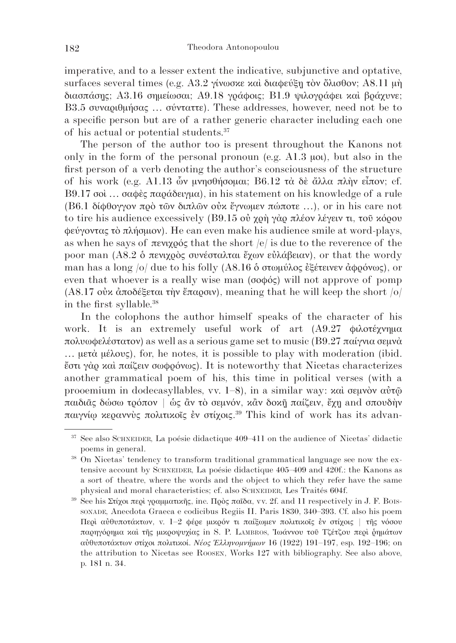imperative, and to a lesser extent the indicative, subjunctive and optative, surfaces several times (e.g. A3.2 γίνωσκε και διαφεύξη τον ὄλισθον; A8.11 μη διασπάσῃς; A3.16 σημείωσαι; A9.18 γράφοις; B1.9 ψιλογράφει καὶ βράχυνε; B3.5 συναριθμήσας … σύνταττε). These addresses, however, need not be to a specific person but are of a rather generic character including each one of his actual or potential students.37

The person of the author too is present throughout the Kanons not only in the form of the personal pronoun (e.g. A1.3 μοι), but also in the first person of a verb denoting the author's consciousness of the structure of his work (e.g. A1.13 ὧν μνησθήσομαι; B6.12 τὰ δὲ ἄλλα πλὴν εἶπον; cf. B9.17 σοὶ … σαφὲς παράδειγμα), in his statement on his knowledge of a rule (B6.1 δίφθογγον πρὸ τῶν διπλῶν οὐκ ἔγνωμεν πώποτε …), or in his care not to tire his audience excessively (B9.15 οὐ χρὴ γὰρ πλέον λέγειν τι, τοῦ κόρου φεύγοντας τὸ πλήσμιον). He can even make his audience smile at word-plays, as when he says of πενιχρός that the short  $|e|$  is due to the reverence of the poor man (A8.2 ὁ πενιχρὸς συνέσταλται ἔχων εὐλάβειαν), or that the wordy man has a long /o/ due to his folly (A8.16 ὁ στωμύλος ἐξέτεινεν ἀφρόνως), or even that whoever is a really wise man (σοφός) will not approve of pomp (A8.17 οὐκ ἀποδέξεται τὴν ἔπαρσιν), meaning that he will keep the short  $|o|$ in the first syllable.38

In the colophons the author himself speaks of the character of his work. It is an extremely useful work of art (A9.27 φιλοτέχνημα πολυωφελέστατον) as well as a serious game set to music (B9.27 παίγνια σεμνὰ … μετὰ μέλους), for, he notes, it is possible to play with moderation (ibid. ἔστι γὰρ καὶ παίζειν σωφρόνως). It is noteworthy that Nicetas characterizes another grammatical poem of his, this time in political verses (with a prooemium in dodecasyllables, vv. 1–8), in a similar way: καὶ σεμνὸν αὐτῶ παιδιᾶς δώσω τρόπον | ὡς ἂν τὸ σεμνόν, κἂν δοκιῆ παίζειν, ἔχῃ and σπουδὴν παιγνίῳ κεραννὺς πολιτικοῖς ἐν στίχοις.39 This kind of work has its advan-

<sup>37</sup> See also SCHNEIDER, La poésie didactique 409–411 on the audience of Nicetas' didactic poems in general.

<sup>38</sup> On Nicetas' tendency to transform traditional grammatical language see now the extensive account by SCHNEIDER, La poésie didactique 405–409 and 420f.: the Kanons as a sort of theatre, where the words and the object to which they refer have the same physical and moral characteristics; cf. also SCHNEIDER, Les Traités 604f.

<sup>&</sup>lt;sup>39</sup> See his Στίχοι περὶ γραμματικῆς, inc. Πρὸς παῖδα, vv. 2f. and 11 respectively in J. F. Bois-SONADE, Anecdota Graeca e codicibus Regiis II. Paris 1830, 340–393. Cf. also his poem Περὶ αὐθυποτάκτων, v. 1–2 φέρε μικρόν τι παίξωμεν πολιτικοῖς ἐν στίχοις | τῆς νόσου παρηγόρημα καὶ τῆς μικροψυχίας in S. P. LAMBROS, Ἰωάννου τοῦ Τζέτζου περὶ ῥημάτων αὐθυποτάκτων στίχοι πολιτικοί. *Νέος Ἑλληνομνήμων* 16 (1922) 191–197, esp. 192–196; on the attribution to Nicetas see ROOSEN, Works 127 with bibliography. See also above, p. 181 n. 34.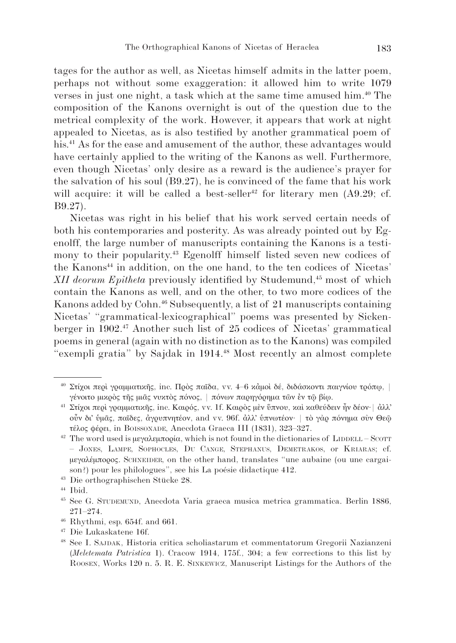tages for the author as well, as Nicetas himself admits in the latter poem, perhaps not without some exaggeration: it allowed him to write 1079 verses in just one night, a task which at the same time amused him.40 The composition of the Kanons overnight is out of the question due to the metrical complexity of the work. However, it appears that work at night appealed to Nicetas, as is also testified by another grammatical poem of his.<sup>41</sup> As for the ease and amusement of the author, these advantages would have certainly applied to the writing of the Kanons as well. Furthermore, even though Nicetas' only desire as a reward is the audience's prayer for the salvation of his soul (B9.27), he is convinced of the fame that his work will acquire: it will be called a best-seller<sup>42</sup> for literary men  $(A9.29; cf.$ B9.27).

Nicetas was right in his belief that his work served certain needs of both his contemporaries and posterity. As was already pointed out by Egenolff, the large number of manuscripts containing the Kanons is a testimony to their popularity.43 Egenolff himself listed seven new codices of the Kanons<sup>44</sup> in addition, on the one hand, to the ten codices of Nicetas' *XII deorum Epitheta* previously identified by Studemund,<sup>45</sup> most of which contain the Kanons as well, and on the other, to two more codices of the Kanons added by Cohn.<sup>46</sup> Subsequently, a list of 21 manuscripts containing Nicetas' "grammatical-lexicographical" poems was presented by Sickenberger in 1902.47 Another such list of 25 codices of Nicetas' grammatical poems in general (again with no distinction as to the Kanons) was compiled "exempli gratia" by Sajdak in 1914.48 Most recently an almost complete

<sup>46</sup> Rhythmi, esp. 654f. and 661.

<sup>40</sup> Στίχοι περὶ γραμματικῆς, inc. Πρὸς παῖδα, vv. 4–6 κἀμοὶ δέ, διδάσκοντι παιγνίου τρόπῳ, | γένοιτο μικρὸς τῆς μιᾶς νυκτὸς πόνος, | πόνων παρηγόρημα τῶν ἐν τῷ βίιω.

<sup>&</sup>lt;sup>41</sup> Στίχοι περὶ γραμματικῆς, inc. Καιρός, vv. 1f. Καιρὸς μὲν ὕπνου, καὶ καθεύδειν ἦν δέον· | ἀλλ' οὖν δι᾿ ὑμᾶς, παῖδες, ἀγρυπνητέον, and vv. 96f. ἀλλ᾿ ὑπνωτέον· | τὸ γὰρ πόνημα σὺν Θεῷ τέλος φέρει, in BOISSONADE, Anecdota Graeca III (1831), 323–327.

<sup>&</sup>lt;sup>42</sup> The word used is μεγαλεμπορία, which is not found in the dictionaries of LIDDELL – SCOTT – JONES, LAMPE, SOPHOCLES, DU CANGE, STEPHANUS, DEMETRAKOS, or KRIARAS; cf. μεγαλέμπορος. SCHNEIDER, on the other hand, translates "une aubaine (ou une cargaison?) pour les philologues", see his La poésie didactique 412.

<sup>43</sup> Die orthographischen Stücke 28.

<sup>44</sup> Ibid.

<sup>45</sup> See G. STUDEMUND, Anecdota Varia graeca musica metrica grammatica. Berlin 1886, 271–274.

<sup>47</sup> Die Lukaskatene 16f.

<sup>48</sup> See I. SAJDAK, Historia critica scholiastarum et commentatorum Gregorii Nazianzeni (*Meletemata Patristica* 1). Cracow 1914, 175f., 304; a few corrections to this list by ROOSEN, Works 120 n. 5. R. E. SINKEWICZ, Manuscript Listings for the Authors of the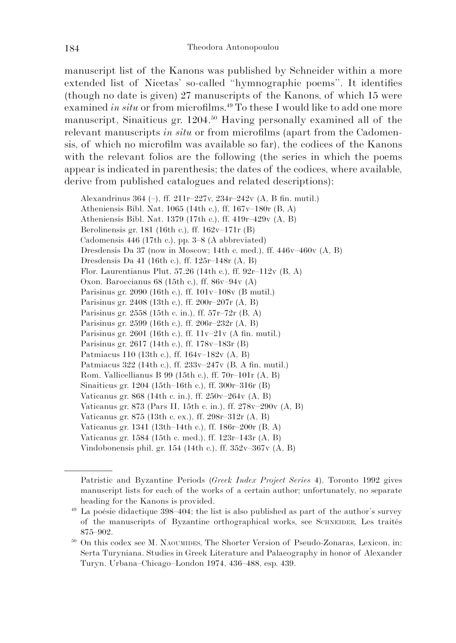manuscript list of the Kanons was published by Schneider within a more extended list of Nicetas' so-called "hymnographic poems". It identifies (though no date is given) 27 manuscripts of the Kanons, of which 15 were examined *in situ* or from microfilms.<sup>49</sup> To these I would like to add one more manuscript, Sinaiticus gr. 1204.50 Having personally examined all of the relevant manuscripts *in situ* or from microfilms (apart from the Cadomensis, of which no microfilm was available so far), the codices of the Kanons with the relevant folios are the following (the series in which the poems appear is indicated in parenthesis; the dates of the codices, where available, derive from published catalogues and related descriptions):

Alexandrinus 364 (–), ff. 211r–227v, 234r–242v (A, B fin. mutil.) Atheniensis Bibl. Nat. 1065 (14th c.), ff. 167v–180r (B, A) Atheniensis Bibl. Nat. 1379 (17th c.), ff. 419r–429v (A, B) Berolinensis gr. 181 (16th c.), ff. 162v–171r (B) Cadomensis 446 (17th c.), pp. 3–8 (A abbreviated) Dresdensis Da 37 (now in Moscow; 14th c. med.), ff. 446v–460v (A, B) Dresdensis Da 41 (16th c.), ff. 125r–148r (A, B) Flor. Laurentianus Plut. 57.26 (14th c.), ff.  $92r-112v$  (B, A) Oxon. Baroccianus 68 (15th c.), ff. 86v–94v (A) Parisinus gr. 2090 (16th c.), ff. 101v–108v (B mutil.) Parisinus gr. 2408 (13th c.), ff. 200r–207r (A, B) Parisinus gr. 2558 (15th c. in.), ff. 57r–72r (B, A) Parisinus gr. 2599 (16th c.), ff. 206r–232r (A, B) Parisinus gr. 2601 (16th c.), ff. 11v–21v (A fin. mutil.) Parisinus gr. 2617 (14th c.), ff. 178v–183r (B) Patmiacus 110 (13th c.), ff. 164v–182v (A, B) Patmiacus 322 (14th c.), ff. 233v–247v (B, A fin. mutil.) Rom. Vallicellianus B 99 (15th c.), ff. 70r–101r (A, B) Sinaiticus gr. 1204 (15th–16th c.), ff. 300r–316r (B) Vaticanus gr. 868 (14th c. in.), ff. 250v–264v (A, B) Vaticanus gr. 873 (Pars II, 15th c. in.), ff. 278v–290v (A, B) Vaticanus gr. 875 (13th c. ex.), ff. 298r–312r (A, B) Vaticanus gr. 1341 (13th–14th c.), ff. 186r–200r (B, A) Vaticanus gr. 1584 (15th c. med.), ff. 123r–143r (A, B) Vindobonensis phil. gr. 154 (14th c.), ff. 352v–367v (A, B)

Patristic and Byzantine Periods (*Greek Index Project Series* 4). Toronto 1992 gives manuscript lists for each of the works of a certain author; unfortunately, no separate heading for the Kanons is provided.

<sup>49</sup> La poésie didactique 398–404; the list is also published as part of the author's survey of the manuscripts of Byzantine orthographical works, see SCHNEIDER, Les traités 875–902.

<sup>50</sup> On this codex see M. NAOUMIDES, The Shorter Version of Pseudo-Zonaras, Lexicon, in: Serta Turyniana. Studies in Greek Literature and Palaeography in honor of Alexander Turyn. Urbana–Chicago–London 1974, 436–488, esp. 439.